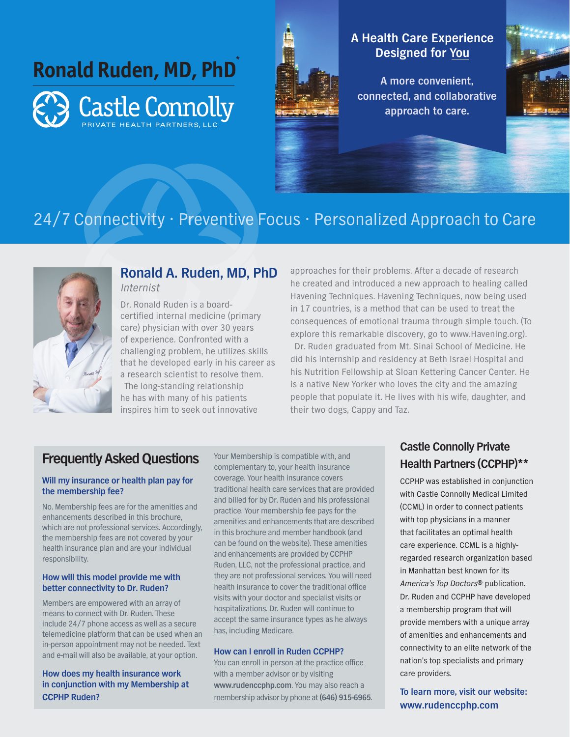**Ronald Ruden, MD, PhDCastle Connolly** 



## **A Health Care Experience Designed for You**

**A more convenient, connected, and collaborative approach to care.**



# 24/7 Connectivity • Preventive Focus • Personalized Approach to Care



### **Ronald A. Ruden, MD, PhD** Internist

Dr. Ronald Ruden is a boardcertified internal medicine (primary care) physician with over 30 years of experience. Confronted with a challenging problem, he utilizes skills that he developed early in his career as a research scientist to resolve them. The long-standing relationship he has with many of his patients inspires him to seek out innovative

approaches for their problems. After a decade of research he created and introduced a new approach to healing called Havening Techniques. Havening Techniques, now being used in 17 countries, is a method that can be used to treat the consequences of emotional trauma through simple touch. (To explore this remarkable discovery, go to www.Havening.org). Dr. Ruden graduated from Mt. Sinai School of Medicine. He did his internship and residency at Beth Israel Hospital and his Nutrition Fellowship at Sloan Kettering Cancer Center. He is a native New Yorker who loves the city and the amazing people that populate it. He lives with his wife, daughter, and

their two dogs, Cappy and Taz.

## **Frequently Asked Questions**

#### **Will my insurance or health plan pay for the membership fee?**

No. Membership fees are for the amenities and enhancements described in this brochure, which are not professional services. Accordingly, the membership fees are not covered by your health insurance plan and are your individual responsibility.

#### **How will this model provide me with better connectivity to Dr. Ruden?**

Members are empowered with an array of means to connect with Dr. Ruden. These include 24/7 phone access as well as a secure telemedicine platform that can be used when an in-person appointment may not be needed. Text and e-mail will also be available, at your option.

#### **How does my health insurance work in conjunction with my Membership at CCPHP Ruden?**

Your Membership is compatible with, and complementary to, your health insurance coverage. Your health insurance covers traditional health care services that are provided and billed for by Dr. Ruden and his professional practice. Your membership fee pays for the amenities and enhancements that are described in this brochure and member handbook (and can be found on the website). These amenities and enhancements are provided by CCPHP Ruden, LLC, not the professional practice, and they are not professional services. You will need health insurance to cover the traditional office visits with your doctor and specialist visits or hospitalizations. Dr. Ruden will continue to accept the same insurance types as he always has, including Medicare.

#### **How can I enroll in Ruden CCPHP?**

You can enroll in person at the practice office with a member advisor or by visiting **www.rudenccphp.com**. You may also reach a membership advisor by phone at **(646) 915-6965**.

## **Castle Connolly Private Health Partners (CCPHP)\*\***

CCPHP was established in conjunction with Castle Connolly Medical Limited (CCML) in order to connect patients with top physicians in a manner that facilitates an optimal health care experience. CCML is a highlyregarded research organization based in Manhattan best known for its America's Top Doctors® publication. Dr. Ruden and CCPHP have developed a membership program that will provide members with a unique array of amenities and enhancements and connectivity to an elite network of the nation's top specialists and primary care providers.

**To learn more, visit our website: www.rudenccphp.com**